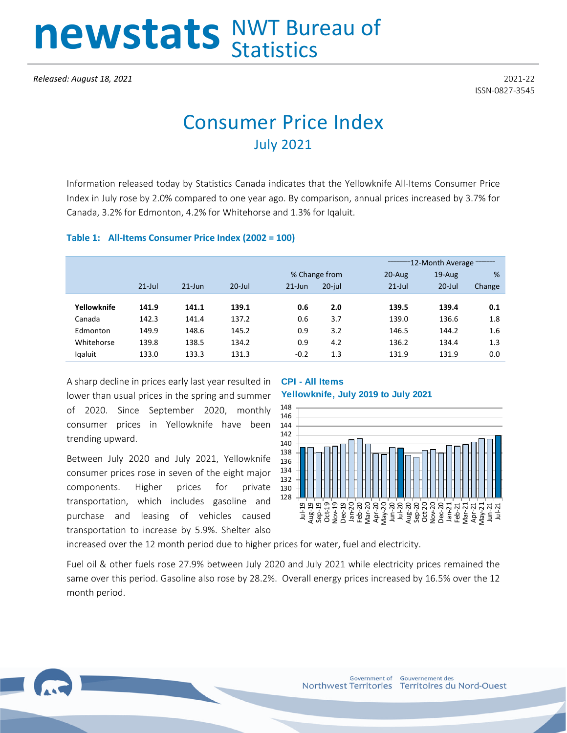# newstats NWT Bureau of

ISSN-0827-3545

# Consumer Price Index July 2021

Information released today by Statistics Canada indicates that the Yellowknife All-Items Consumer Price Index in July rose by 2.0% compared to one year ago. By comparison, annual prices increased by 3.7% for Canada, 3.2% for Edmonton, 4.2% for Whitehorse and 1.3% for Iqaluit.

#### **Table 1: All-Items Consumer Price Index (2002 = 100)**

|             |           |           |           |               |           | 12-Month Average |           |        |  |
|-------------|-----------|-----------|-----------|---------------|-----------|------------------|-----------|--------|--|
|             |           |           |           | % Change from |           | $20$ -Aug        | $19$ -Aug | %      |  |
|             | $21$ -Jul | $21$ -Jun | $20$ -Jul | $21$ -Jun     | $20$ -jul | $21$ -Jul        | $20$ -Jul | Change |  |
|             |           |           |           |               |           |                  |           |        |  |
| Yellowknife | 141.9     | 141.1     | 139.1     | 0.6           | 2.0       | 139.5            | 139.4     | 0.1    |  |
| Canada      | 142.3     | 141.4     | 137.2     | 0.6           | 3.7       | 139.0            | 136.6     | 1.8    |  |
| Edmonton    | 149.9     | 148.6     | 145.2     | 0.9           | 3.2       | 146.5            | 144.2     | 1.6    |  |
| Whitehorse  | 139.8     | 138.5     | 134.2     | 0.9           | 4.2       | 136.2            | 134.4     | 1.3    |  |
| Igaluit     | 133.0     | 133.3     | 131.3     | $-0.2$        | 1.3       | 131.9            | 131.9     | 0.0    |  |
|             |           |           |           |               |           |                  |           |        |  |

A sharp decline in prices early last year resulted in lower than usual prices in the spring and summer of 2020. Since September 2020, monthly consumer prices in Yellowknife have been trending upward.

Between July 2020 and July 2021, Yellowknife consumer prices rose in seven of the eight major components. Higher prices for private transportation, which includes gasoline and purchase and leasing of vehicles caused transportation to increase by 5.9%. Shelter also

### **CPI - All Items Yellowknife, July 2019 to July 2021**



increased over the 12 month period due to higher prices for water, fuel and electricity.

Fuel oil & other fuels rose 27.9% between July 2020 and July 2021 while electricity prices remained the same over this period. Gasoline also rose by 28.2%. Overall energy prices increased by 16.5% over the 12 month period.